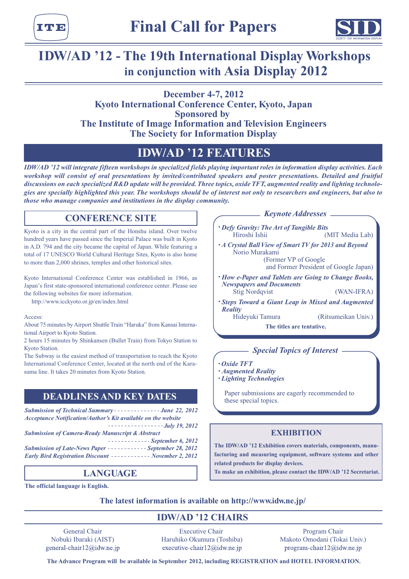



# **IDW/AD '12 - The 19th International Display Workshops** in conjunction with Asia Display 2012

# **2012 4-7, December Kyoto International Conference Center, Kyoto, Japan Sponsored** by **The Institute of Image Information and Television Engineers The Society for Information Display**

# **IDW/AD '12 FEATURES**

*IDW/AD '12 will integrate fifteen workshops in specialized fields playing important roles in information display activities. Each* workshop will consist of oral presentations by invited/contributed speakers and poster presentations. Detailed and fruitful discussions on each specialized R&D update will be provided. Three topics, oxide TFT, augmented reality and lighting technolo-<br>gies are specially highlighted this year. The workshops should be of interest not only to resea *those who manage companies and institutions in the display community.* 

# **CONFERENCE SITE**

Kyoto is a city in the central part of the Honshu island. Over twelve hundred years have passed since the Imperial Palace was built in Kyoto in A.D. 794 and the city became the capital of Japan. While featuring a total of 17 UNESCO World Cultural Heritage Sites, Kyoto is also home to more than 2,000 shrines, temples and other historical sites.

Kyoto International Conference Center was established in 1966, as Japan's first state-sponsored international conference center. Please see the following websites for more information.

http://www.icckyoto.or.jp/en/index.html

Access:

About 75 minutes by Airport Shuttle Train "Haruka" from Kansai International Airport to Kyoto Station.

2 hours 15 minutes by Shinkansen (Bullet Train) from Tokyo Station to Kyoto Station.

The Subway is the easiest method of transportation to reach the Kyoto International Conference Center, located at the north end of the Kara-<br>suma line. It takes 20 minutes from Kyoto Station.

# **DEADLINES AND KEY DATES**

*Submission of Technical Summary - - - - - - - - - - - - - - June 22, 2012* Acceptance Notification/Author's Kit available on the website *2012 19, July Submission of Camera-Ready Manuscript & Abstract 2012 6, September Submission of Late-News Paper ----------- September 28, 2012 Early Bird Registration Discount ----------- November 2, 2012* 

# **LANGUAGE**

**The official language is English.** 

*Addresses* 

- *Defy Gravity: The Art of Tangible Bits* Hiroshi Ishii (MIT Media Lab)
- *•A Crystal Ball View of Smart TV for 2013 and Beyond* Norio Murakami

(Former VP of Google and Former President of Google Japan)

- *<i> How e-Paper and Tablets are Going to Change Books, Documents and Newspapers* Stig Nordqvist (WAN-IFRA)
- *Steps Toward a Giant Leap in Mixed and Augmented Reality*

(Ritsumeikan Univ.)

**The titles are tentative.** 

# *<u>Interest</u>* - Special Topics of Interest -

- *TFT Oxide•*
- *Augmented* Reality
- *Technologies Lighting•*

Paper submissions are eagerly recommended to these special topics.

# **EXHIBITION**

facturing and measuring equipment, software systems and other The IDW/AD '12 Exhibition covers materials, components, manurelated products for display devices.

To make an exhibition, please contact the IDW/AD '12 Secretariat.

The latest information is available on http://www.idw.ne.jp/

# **IDW/AD '12 CHAIRS**

General Chair Nobuki Ibaraki (AIST) general-chair12@idw.ne.jp

**Executive Chair** Haruhiko Okumura (Toshiba) executive-chair12@idw.ne.jp

Program Chair Makoto Omodani (Tokai Univ.) program-chair $12@$ idw.ne.jp

 $The Advance Program will be available in September 2012, including REGISTRATION and HOTEL INFORMATION.$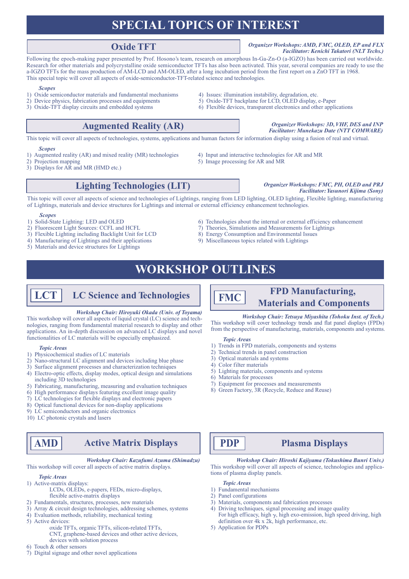# **ISPECIAL TOPICS OF INTEREST**

# **Oxide TFT**

## **Organizer Workshops: AMD, FMC, OLED, EP and FLX Facilitator: Kenichi Takatori (NLT Techs.)**

Following the epoch-making paper presented by Prof. Hosono's team, research on amorphous In-Ga-Zn-O (a-IGZO) has been carried out worldwide. Research for other materials and polycrystalline oxide semiconductor TFTs has also been activated. This year, several companies are ready to use the a-IGZO TFTs for the mass production of AM-LCD and AM-OLED, after a long incubation period from the first report on a ZnO TFT in 1968. This special topic will cover all aspects of oxide-semiconductor-TFT-related science and technologies.

#### *Scopes*

- 1) Oxide semiconductor materials and fundamental mechanisms 4) Issues: illumination instability, degradation, etc.
- 2) Device physics, fabrication processes and equipments 5 oxide-TFT backplane for LCD, OLED display, e-Paper
- 3) Oxide-TFT display circuits and embedded systems 6 systems 6 systems enterprise in the applications and other applications 3 oxide-TFT-Oxide-Oxided and circuits and embedded systems 6 systems 6 systems 6 systems 6 system

3) Flexible Lighting including Backlight Unit for LCD

5) Materials and device structures for Lightings

#### *In**Inferior Beauding**INP <b>and INP Description <i>Description Conganizer Workshops: 3D, VHF, DES and INP* **Facilitator: Munekazu Date (NTT COMWARE)**

This topic will cover all aspects of technologies, systems, applications and human factors for information display using a fusion of real and virtual.

#### *Scopes*

- 1) Augmented reality (AR) and mixed reality (MR) technologies 4) Input and interactive technologies for AR and MR
- 2) Projection mapping 5 mage processing for AR and MR
- 3) Displays for AR and MR (HMD etc.)
- 

- 
- 
- 
- 4) Manufacturing of Lightings and their applications 9 applications 9 applications their applications of Miscellaneous topics related with Lightings of Miscellaneous topics related with Lightings

# **WORKSHOP OUTLINES**

# $LCT$  LC Science and Technologies

#### *Workshop Chair: Hiroyuki Okada (Univ. of Toyama)*

nologies, ranging from fundamental material research to display and other This workshop will cover all aspects of liquid crystal (LC) science and techapplications. An in-depth discussion on advanced LC displays and novel functionalities of LC materials will be especially emphasized.

#### *Areas Topic*

- 1) Physicochemical studies of LC materials
- 2) Nano-structural LC alignment and devices including blue phase
- 3) Surface alignment processes and characterization techniques
- 4) Electro-optic effects, display modes, optical design and simulations including 3D technologies
- 5) Fabricating, manufacturing, measuring and evaluation techniques
- 6) High performance displays featuring excellent image quality
- 7) LC technologies for flexible displays and electronic papers
- $\alpha$  8) Optical functional devices for non-display applications
- $\overline{9}$ ) LC semiconductors and organic electronics
- 10) LC photonic crystals and lasers

# **Displays Matrix Active AMD**

*Workshop Chair: Kazufumi Azuma (Shimadzu)* This workshop will cover all aspects of active matrix displays.

#### *Areas Topic*

- 1) Active-matrix displays:
	- LCDs, OLEDs, e-papers, FEDs, micro-displays, flexible active-matrix displays
- 2) Fundamentals, structures, processes, new materials
- $s$ ) Array & circuit design technologies, addressing schemes, systems
- 4) Evaluation methods, reliability, mechanical testing
- 5) Active devices:
	- oxide TFTs, organic TFTs, silicon-related TFTs,
		- CNT, graphene-based devices and other active devices, devices with solution process
- 6) Touch  $&$  other sensors
- $\overline{a}$ ) Digital signage and other novel applications

# 2) Fluorescent Light Sources: CCFL and HCFL 7) Theories, Simulations and Measurements for Lightings<br>3) Flexible Lighting including Backlight Unit for LCD 8) Energy Consumption and Environmental Issues

# **FPD** Manufacturing, **Materials** and **Components**

#### *Workshop Chair: Tetsuya Miyashita (Tohoku Inst. of Tech.)*

This workshop will cover technology trends and flat panel displays (FPDs) from the perspective of manufacturing, materials, components and systems.

### *Areas Topic*

**FMC**

- $\overline{1}$ ) Trends in FPD materials, components and systems
- 2) Technical trends in panel construction
- 3) Optical materials and systems
- 4) Color filter materials
- 5) Lighting materials, components and systems
- 6) Materials for processes
- 7) Equipment for processes and measurements
- 8) Green Factory, 3R (Recycle, Reduce and Reuse)

# **Displays Plasma PDP**

*Workshop Chair: Hiroshi Kajiyama (Tokushima Bunri Univ.)* This workshop will cover all aspects of science, technologies and applications of plasma display panels.

*Areas Topic*

- 1) Fundamental mechanisms
- 2) Panel configurations
- $\tilde{p}$ ) Materials, components and fabrication processes
- $\overline{4}$ ) Driving techniques, signal processing and image quality For high efficacy, high  $\gamma$ , high exo-emission, high speed driving, high definition over  $4k \times 2k$ , high performance, etc.
- 5) Application for PDPs

# **PRJ 8.1 And The PRJ and PRJ and PRJ and PRJ and PRJ and PRJ and PRJ and PRJ and PRJ and PRJ and PRJ and PRJ and PRJ and PRJ and PRJ and PRJ and PRJ and PRJ and PRJ and PRJ and PRJ and PRJ and PRJ and PRJ and PRJ and PRJ a Facilitator: Yasunori Kijima (Sony)**

This topic will cover all aspects of science and technologies of Lightings, ranging from LED lighting, OLED lighting, Flexible lighting, manufacturing

of Lightings, materials and device structures for Lightings and internal or external efficiency enhancement technologies. **Scopes**<br>Solid-State Lighting: LED and OLED

enhancement efficiency enhancement efficiency enhancement of  $\epsilon$  OLED  $\epsilon$  of Dechnologies about the internal or external efficiency enhancement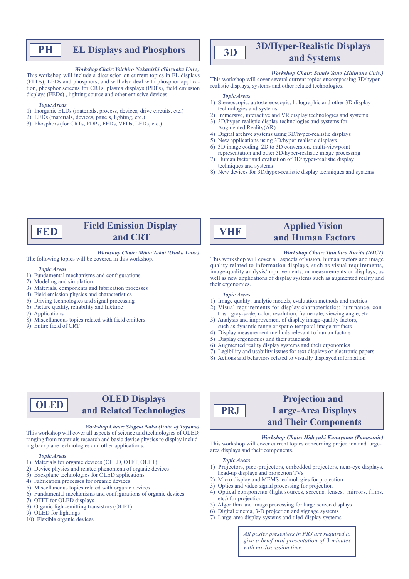# **PH** EL Displays and Phosphors

#### *Workshop Chair: Yoichiro Nakanishi (Shizuoka Univ.)*

This workshop will include a discussion on current topics in EL displays tion, phosphor screens for CRTs, plasma displays (PDPs), field emission (ELDs), LEDs and phosphors, and will also deal with phosphor applicadisplays (FEDs), lighting source and other emissive devices.

#### *Areas Topic*

- 1) Inorganic ELDs (materials, process, devices, drive circuits, etc.)
- $\overline{2}$ ) LEDs (materials, devices, panels, lighting, etc.)
- 3) Phosphors (for CRTs, PDPs, FEDs, VFDs, LEDs, etc.)

#### **3D/Hyper-Realistic Displays D3Systems and**

### *Workshop Chair: Sumio Yano (Shimane Univ.)*

This workshop will cover several current topics encompassing 3D/hyper-realistic displays, systems and other related technologies.

#### *Topic Areas*

- 1) Stereoscopic, autostereoscopic, holographic and other 3D display technologies and systems
- 2) Immersive, interactive and VR display technologies and systems
- 3) 3D/hyper-realistic display technologies and systems for Augmented Reality  $(AR)$
- 4) Digital archive systems using 3D/hyper-realistic displays
- 5) New applications using 3D/hyper-realistic displays  $\overrightarrow{v}$  3D image coding, 2D to 3D conversion, multi-viewpoint
- representation and other 3D/hyper-realistic image processing 7) Human factor and evaluation of 3D/hyper-realistic display techniques and systems
- 8) New devices for 3D/hyper-realistic display techniques and systems



# **Field Emission Display CRT and**

#### *Workshop Chair: Mikio Takai (Osaka Univ.)* The following topics will be covered in this workshop.

#### *Areas Topic*

- 1) Fundamental mechanisms and configurations
- $2)$  Modeling and simulation
- 3) Materials, components and fabrication processes
- 4) Field emission physics and characteristics
- $5$ ) Driving technologies and signal processing
- $\epsilon$ ) Picture quality, reliability and lifetime
- 7) Applications
- 8) Miscellaneous topics related with field emitters
- 9) Entire field of CRT

**VHF**

# **Applied Vision and Human Factors**

#### *Workshop Chair: Taiichiro Kurita (NICT)*

This workshop will cover all aspects of vision, human factors and image quality related to information displays, such as visual requirements, image-quality analysis/improvements, or measurements on displays, as well as new applications of display systems such as augmented reality and their ergonomics

#### *Areas Topic*

- 1) Image quality: analytic models, evaluation methods and metrics
- 2) Visual requirements for display characteristics: luminance, contrast, gray-scale, color, resolution, frame rate, viewing angle, etc.
- 3) Analysis and improvement of display image-quality factors,
- such as dynamic range or spatio-temporal image artifacts 4) Display measurement methods relevant to human factors
- 
- 5) Display ergonomics and their standards
- $\overline{6}$  Augmented reality display systems and their ergonomics
- $\overline{p}$  Legibility and usability issues for text displays or electronic papers
- 8) Actions and behaviors related to visually displayed information

### **OLED** Displays **OLEDand Related Technologies**

#### *Workshop Chair: Shigeki Naka (Univ. of Tovama)*

This workshop will cover all aspects of science and technologies of OLED, ranging from materials research and basic device physics to display including backplane technologies and other applications.

#### *Areas Topic*

- 1) Materials for organic devices (OLED, OTFT, OLET)
- 2) Device physics and related phenomena of organic devices
- 3) Backplane technologies for OLED applications
- 4) Fabrication processes for organic devices
- 5) Miscellaneous topics related with organic devices
- $\ddot{\text{o}}$  Fundamental mechanisms and configurations of organic devices
- $\overline{7}$ ) OTFT for OLED displays
- 8) Organic light-emitting transistors (OLET)
- 9) OLED for lightings
- 10) Flexible organic devices

## **Projection** and **Large-Area Displays and Their Components PRJ**

#### *Workshop Chair: Hideyuki Kanayama (Panasonic)*

This workshop will cover current topics concerning projection and large-<br>area-displays and their components.

#### *Areas Topic*

- 1) Projectors, pico-projectors, embedded projectors, near-eye displays, head-up displays and projection TVs
- 2) Micro display and MEMS technologies for projection
- 3) Optics and video signal processing for projection
- 4) Optical components (light sources, screens, lenses, mirrors, films, etc.) for projection
- 5) Algorithm and image processing for large screen displays
- $\overline{6}$ ) Digital cinema, 3-D projection and signage systems
- 7) Large-area display systems and tiled-display systems

*All poster presenters in PRJ are required to give a brief oral presentation of 3 minutes*  $with no discussion time.$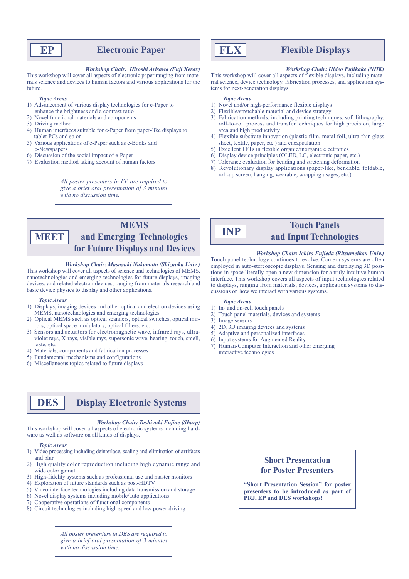# **Paper Electronic Paper**

#### *Workshop Chair: Hiroshi Arisawa (Fuji Xerox)*

rials science and devices to human factors and various applications for the This workshop will cover all aspects of electronic paper ranging from mate-.future

#### *Areas Topic*

- 1) Advancement of various display technologies for e-Paper to enhance the brightness and a contrast ratio
- 2) Novel functional materials and components
- 3) Driving method
- $\overline{4}$ ) Human interfaces suitable for e-Paper from paper-like displays to tablet PCs and so on
- 5) Various applications of e-Paper such as e-Books and e-Newspapers
- 6) Discussion of the social impact of e-Paper
- $\sigma$ ) Evaluation method taking account of human factors

*All poster presenters in EP are required to* give a brief oral presentation of 3 minutes with no discussion time.

## **MEMS** and Emerging Technologies **for Future Displays and Devices MEET**

#### *Workshop Chair: Masayuki Nakamoto (Shizuoka Univ.)*

This workshop will cover all aspects of science and technologies of MEMS, nanotechnologies and emerging technologies for future displays, imaging devices, and related electron devices, ranging from materials research and basic device physics to display and other applications.

#### *Areas Topic*

- 1) Displays, imaging devices and other optical and electron devices using MEMS, nanotechnologies and emerging technologies
- 2) Optical MEMS such as optical scanners, optical switches, optical mirrors, optical space modulators, optical filters, etc.
- violet rays, X-rays, visible rays, supersonic wave, hearing, touch, smell, 3) Sensors and actuators for electromagnetic wave, infrared rays, ultrataste, etc.
- 4) Materials, components and fabrication processes
- $\overline{5}$ ) Fundamental mechanisms and configurations
- 6) Miscellaneous topics related to future displays

**DES** Display Electronic Systems

*Workshop Chair: Toshiyuki Fujine (Sharp)* 

This workshop will cover all aspects of electronic systems including hard-ware as well as software on all kinds of displays.

#### *Areas Topic*

- 1) Video processing including deinterlace, scaling and elimination of artifacts and blur
- 2) High quality color reproduction including high dynamic range and wide color gamut
- 3) High-fidelity systems such as professional use and master monitors
- 4) Exploration of future standards such as post-HDTV
- 5) Video interface technologies including data transmission and storage
- $\delta$ ) Novel display systems including mobile/auto applications
- $\sigma$ ) Cooperative operations of functional components
- $\delta$ ) Circuit technologies including high speed and low power driving

*All poster presenters in DES are required to* give a brief oral presentation of 3 minutes  $with no discussion time.$ 

# **Displays Flexible FLX**

### *Workshop Chair: Hideo Fujikake (NHK)*

rial science, device technology, fabrication processes, and application systems for next-generation displays. This workshop will cover all aspects of flexible displays, including mate-<br>rial science, device technology, fabrication processes, and application sys-This workshop will cover all aspects of flexible displays, including mate-

#### *Topic Areas*

- 1) Novel and/or high-performance flexible displays
- 2) Flexible/stretchable material and device strategy
- 3) Fabrication methods, including printing techniques, soft lithography, roll-to-roll process and transfer techniques for high precision, large area and high productivity
- 4) Flexible substrate innovation (plastic film, metal foil, ultra-thin glass sheet, textile, paper, etc.) and encapsulation
- 5) Excellent TFTs in flexible organic/inorganic electronics
- $(6)$  Display device principles (OLED, LC, electronic paper, etc.)
- 7) Tolerance evaluation for bending and stretching deformation
- 8) Revolutionary display applications (paper-like, bendable, foldable, roll-up screen, hanging, wearable, wrapping usages, etc.)



# **Touch Panels** and Input Technologies

*Workshop Chair: Ichiro Fujieda (Ritsumeikan Univ.)* Touch panel technology continues to evolve. Camera systems are often employed in auto-stereoscopic displays. Sensing and displaying 3D positions in space literally open a new dimension for a truly intuitive human interface. This workshop covers all aspects of input technologies related to displays, ranging from materials, devices, application systems to discussions on how we interact with various systems.

#### *Areas Topic*

- 1) In- and on-cell touch panels
- 2) Touch panel materials, devices and systems
- $3)$  Image sensors
- 4) 2D, 3D imaging devices and systems
- 5) Adaptive and personalized interfaces
- $6)$  Input systems for Augmented Reality
- 7) Human-Computer Interaction and other emerging interactive technologies

# **Short Presentation for Poster Presenters**

"Short Presentation Session" for poster presenters to be introduced as part of **PRJ, EP and DES workshops!**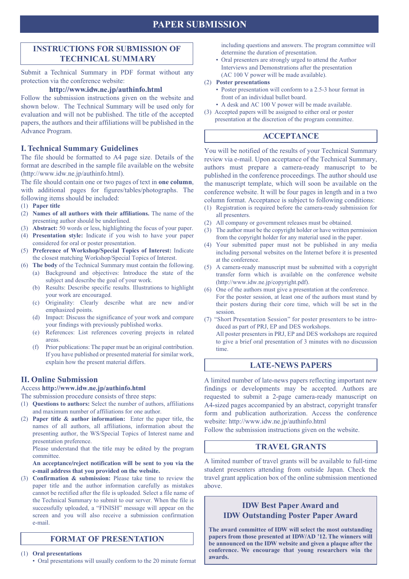# **PAPER SUBMISSION**

# **INSTRUCTIONS FOR SUBMISSION OF TECHNICAL SUMMARY**

Submit a Technical Summary in PDF format without any protection via the conference website:

### http://www.idw.ne.jp/authinfo.html

Follow the submission instructions given on the website and shown below. The Technical Summary will be used only for evaluation and will not be published. The title of the accepted papers, the authors and their affiliations will be published in the Advance Program.

### **I. Technical Summary Guidelines**

The file should be formatted to A4 page size. Details of the format are described in the sample file available on the website  $(\text{http://www.idw.ne.jp/authinfo.html}).$ 

The file should contain one or two pages of text in **one column**, with additional pages for figures/tables/photographs. The following items should be included:

- (1) Paper title
- (2) Names of all authors with their affiliations. The name of the presenting author should be underlined.
- (3) **Abstract:** 50 words or less, highlighting the focus of your paper.
- (4) Presentation style: Indicate if you wish to have your paper considered for oral or poster presentation.
- (5) Preference of Workshop/Special Topics of Interest: Indicate the closest matching Workshop/Special Topics of Interest.
- (6) The body of the Technical Summary must contain the following.
- (a) Background and objectives: Introduce the state of the subject and describe the goal of your work.
	- (b) Results: Describe specific results. Illustrations to highlight your work are encouraged.
	- (c) Originality: Clearly describe what are new and/or emphasized points.
	- (d) Impact: Discuss the significance of your work and compare your findings with previously published works.
	- (e) References: List references covering projects in related .areas
	- $\Gamma$ . Prior publications: The paper must be an original contribution. If you have published or presented material for similar work, explain how the present material differs.

## **II. Online Submission**

## Access http://www.idw.ne.jp/authinfo.html

- The submission procedure consists of three steps:
- (1) **Questions to authors:** Select the number of authors, affiliations and maximum number of affiliations for one author.
- (2) **Paper title & author information:** Enter the paper title, the names of all authors, all affiliations, information about the presenting author, the WS/Special Topics of Interest name and presentation preference.

Please understand that the title may be edited by the program .committee

### An acceptance/reject notification will be sent to you via the **e-mail address that you provided on the website.**

(3) **Confirmation & submission:** Please take time to review the paper title and the author information carefully as mistakes cannot be rectified after the file is uploaded. Select a file name of the Technical Summary to submit to our server. When the file is successfully uploaded, a "FINISH" message will appear on the screen and you will also receive a submission confirmation e-mail.

# **FORMAT OF PRESENTATION**

**(1)** Oral presentations

• Oral presentations will usually conform to the 20 minute format

including questions and answers. The program committee will determine the duration of presentation.

• Oral presenters are strongly urged to attend the Author Interviews and Demonstrations after the presentation  $(AC 100 V)$  power will be made available).

### **(2)** Poster presentations

- Poster presentation will conform to a 2.5-3 hour format in front of an individual bullet board.
- A desk and AC 100 V power will be made available.
- (3) Accepted papers will be assigned to either oral or poster
- presentation at the discretion of the program committee.

# **ACCEPTANCE**

You will be notified of the results of your Technical Summary review via e-mail. Upon acceptance of the Technical Summary, authors must prepare a camera-ready manuscript to be published in the conference proceedings. The author should use the manuscript template, which will soon be available on the conference website. It will be four pages in length and in a two column format. Acceptance is subject to following conditions:

- $f(1)$  Registration is required before the camera-ready submission for all presenters.
- (2) All company or government releases must be obtained.
- $p(x)$  The author must be the copyright holder or have written permission from the copyright holder for any material used in the paper.
- Your submitted paper must not be published in any media including personal websites on the Internet before it is presented at the conference.
- $(5)$  A camera-ready manuscript must be submitted with a copyright transfer form which is available on the conference website (http://www.idw.ne.jp/copyright.pdf).
- .conference the at presentation a give must authors the of One) 6( For the poster session, at least one of the authors must stand by their posters during their core time, which will be set in the session.
- (7) "Short Presentation Session" for poster presenters to be intro-<br>duced as part of PRJ, EP and DES workshops. All poster presenters in PRJ, EP and DES workshops are required

to give a brief oral presentation of 3 minutes with no discussion time.

# **LATE-NEWS PAPERS**

A limited number of late-news papers reflecting important new findings or developments may be accepted. Authors are requested to submit a 2-page camera-ready manuscript on A4-sized pages accompanied by an abstract, copyright transfer form and publication authorization. Access the conference website: http://www.idw.ne.jp/authinfo.html

Follow the submission instructions given on the website.

## **TRAVEL GRANTS**

A limited number of travel grants will be available to full-time student presenters attending from outside Japan. Check the travel grant application box of the online submission mentioned above.

# **IDW Best Paper Award and IDW Outstanding Poster Paper Award**

The award committee of **IDW** will select the most outstanding papers from those presented at IDW/AD '12. The winners will be announced on the IDW website and given a plaque after the conference. We encourage that young researchers win the **.awards**